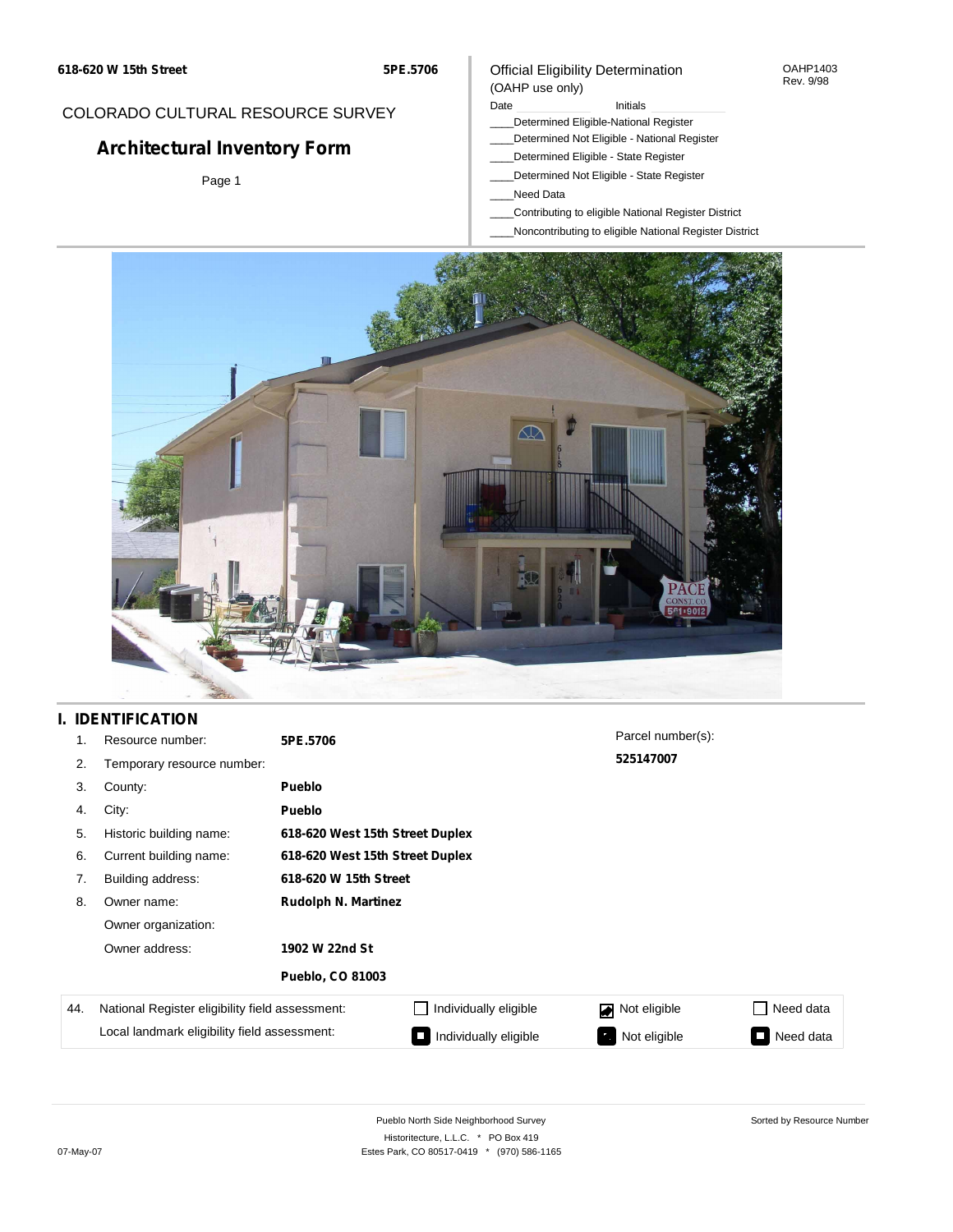**5PE.5706**

### COLORADO CULTURAL RESOURCE SURVEY

# **Architectural Inventory Form**

Page 1

### Official Eligibility Determination (OAHP use only)

Date **Initials** Initials

- \_\_\_\_Determined Eligible-National Register
- \_\_\_\_Determined Not Eligible National Register
- \_\_\_\_Determined Eligible State Register
- \_\_\_\_Determined Not Eligible State Register
- \_\_\_\_Need Data
- \_\_\_\_Contributing to eligible National Register District
- \_\_\_\_Noncontributing to eligible National Register District



# **I. IDENTIFICATION**

| 1.  | Resource number:                                | 5PE.5706                        |                                 | Parcel number(s): |           |  |  |
|-----|-------------------------------------------------|---------------------------------|---------------------------------|-------------------|-----------|--|--|
| 2.  | Temporary resource number:                      |                                 |                                 | 525147007         |           |  |  |
| 3.  | County:                                         | Pueblo                          |                                 |                   |           |  |  |
| 4.  | City:                                           | Pueblo                          |                                 |                   |           |  |  |
| 5.  | Historic building name:                         |                                 | 618-620 West 15th Street Duplex |                   |           |  |  |
| 6.  | Current building name:                          | 618-620 West 15th Street Duplex |                                 |                   |           |  |  |
| 7.  | Building address:                               | 618-620 W 15th Street           |                                 |                   |           |  |  |
| 8.  | Owner name:                                     | <b>Rudolph N. Martinez</b>      |                                 |                   |           |  |  |
|     | Owner organization:                             |                                 |                                 |                   |           |  |  |
|     | Owner address:                                  | 1902 W 22nd St                  |                                 |                   |           |  |  |
|     |                                                 | <b>Pueblo, CO 81003</b>         |                                 |                   |           |  |  |
| 44. | National Register eligibility field assessment: |                                 | Individually eligible           | Not eligible<br>◪ | Need data |  |  |
|     | Local landmark eligibility field assessment:    |                                 | Individually eligible           | Not eligible      | Need data |  |  |

OAHP1403 Rev. 9/98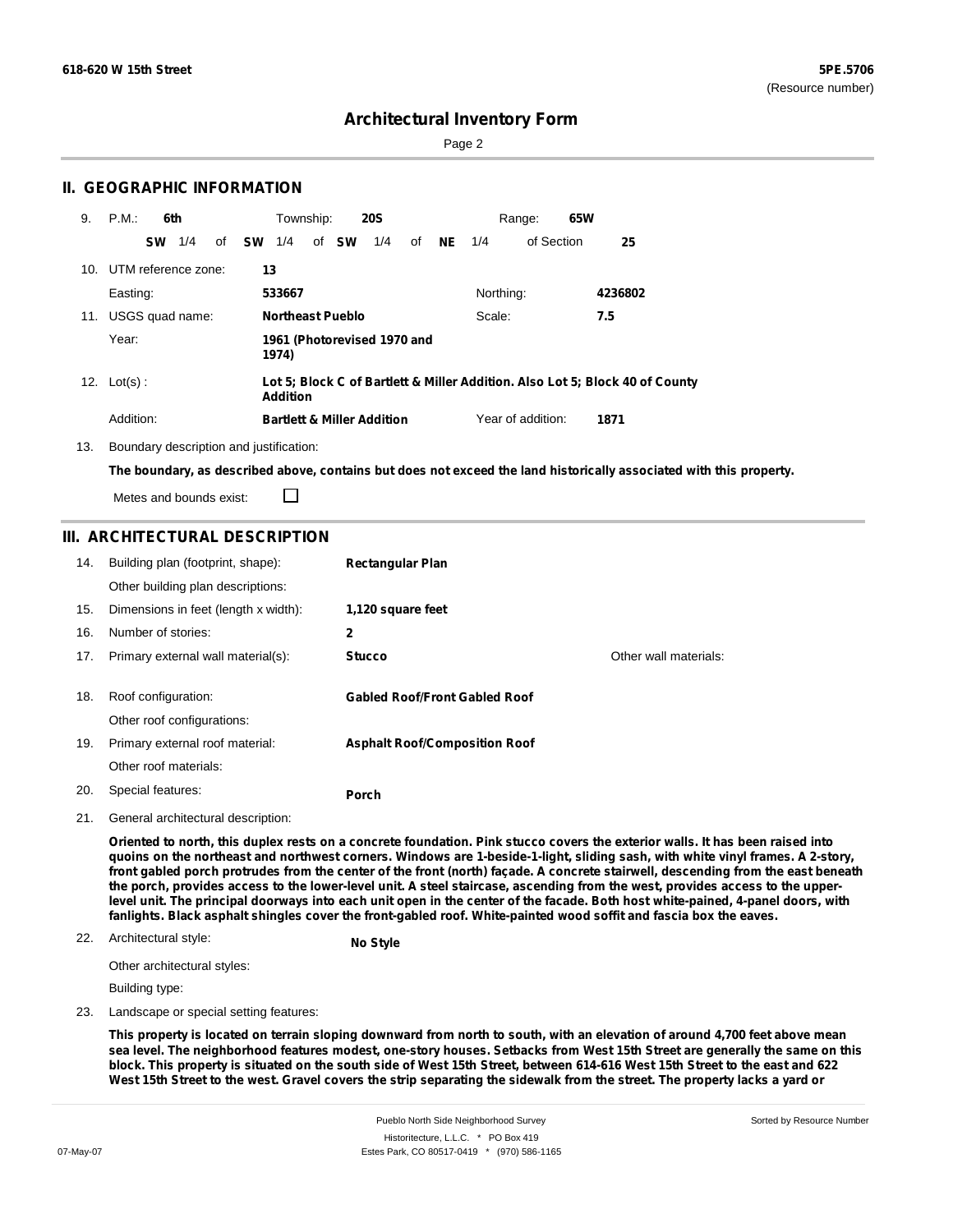Sorted by Resource Number

### **Architectural Inventory Form**

Page 2

### **II. GEOGRAPHIC INFORMATION**

| 9.  | P.M.                    | 6th              |    |                                                                                                 | Township:               |  |       | <b>20S</b>                            |        |           |           | 65W<br>Range:     |         |
|-----|-------------------------|------------------|----|-------------------------------------------------------------------------------------------------|-------------------------|--|-------|---------------------------------------|--------|-----------|-----------|-------------------|---------|
|     |                         | <b>SW</b><br>1/4 | of | sw                                                                                              | 1/4                     |  | of SW | 1/4                                   | of     | <b>NE</b> | 1/4       | of Section        | 25      |
|     | 10. UTM reference zone: |                  |    |                                                                                                 | 13                      |  |       |                                       |        |           |           |                   |         |
|     | Easting:                |                  |    |                                                                                                 | 533667                  |  |       |                                       |        |           | Northing: |                   | 4236802 |
| 11. | USGS quad name:         |                  |    |                                                                                                 | <b>Northeast Pueblo</b> |  |       |                                       | Scale: |           | 7.5       |                   |         |
|     | Year:                   |                  |    |                                                                                                 | 1974)                   |  |       | 1961 (Photorevised 1970 and           |        |           |           |                   |         |
|     | 12. $Lot(s)$ :          |                  |    | Lot 5; Block C of Bartlett & Miller Addition. Also Lot 5; Block 40 of County<br><b>Addition</b> |                         |  |       |                                       |        |           |           |                   |         |
|     | Addition:               |                  |    |                                                                                                 |                         |  |       | <b>Bartlett &amp; Miller Addition</b> |        |           |           | Year of addition: | 1871    |

13. Boundary description and justification:

□

The boundary, as described above, contains but does not exceed the land historically associated with this property.

Metes and bounds exist:

### **III. ARCHITECTURAL DESCRIPTION**

| 14. | Building plan (footprint, shape):    | <b>Rectangular Plan</b>              |                       |
|-----|--------------------------------------|--------------------------------------|-----------------------|
|     | Other building plan descriptions:    |                                      |                       |
| 15. | Dimensions in feet (length x width): | 1,120 square feet                    |                       |
| 16. | Number of stories:                   | 2                                    |                       |
| 17. | Primary external wall material(s):   | <b>Stucco</b>                        | Other wall materials: |
| 18. | Roof configuration:                  | <b>Gabled Roof/Front Gabled Roof</b> |                       |
|     | Other roof configurations:           |                                      |                       |
| 19. | Primary external roof material:      | <b>Asphalt Roof/Composition Roof</b> |                       |
|     | Other roof materials:                |                                      |                       |
| 20. | Special features:                    | Porch                                |                       |
|     |                                      |                                      |                       |

21. General architectural description:

Oriented to north, this duplex rests on a concrete foundation. Pink stucco covers the exterior walls. It has been raised into quoins on the northeast and northwest corners. Windows are 1-beside-1-light, sliding sash, with white vinyl frames. A 2-story, front gabled porch protrudes from the center of the front (north) façade. A concrete stairwell, descending from the east beneath the porch, provides access to the lower-level unit. A steel staircase, ascending from the west, provides access to the upperlevel unit. The principal doorways into each unit open in the center of the facade. Both host white-pained, 4-panel doors, with fanlights. Black asphalt shingles cover the front-gabled roof. White-painted wood soffit and fascia box the eaves.

#### 22. Architectural style:

**No Style**

Other architectural styles:

Building type:

23. Landscape or special setting features:

This property is located on terrain sloping downward from north to south, with an elevation of around 4,700 feet above mean sea level. The neighborhood features modest, one-story houses. Setbacks from West 15th Street are generally the same on this block. This property is situated on the south side of West 15th Street, between 614-616 West 15th Street to the east and 622 West 15th Street to the west. Gravel covers the strip separating the sidewalk from the street. The property lacks a yard or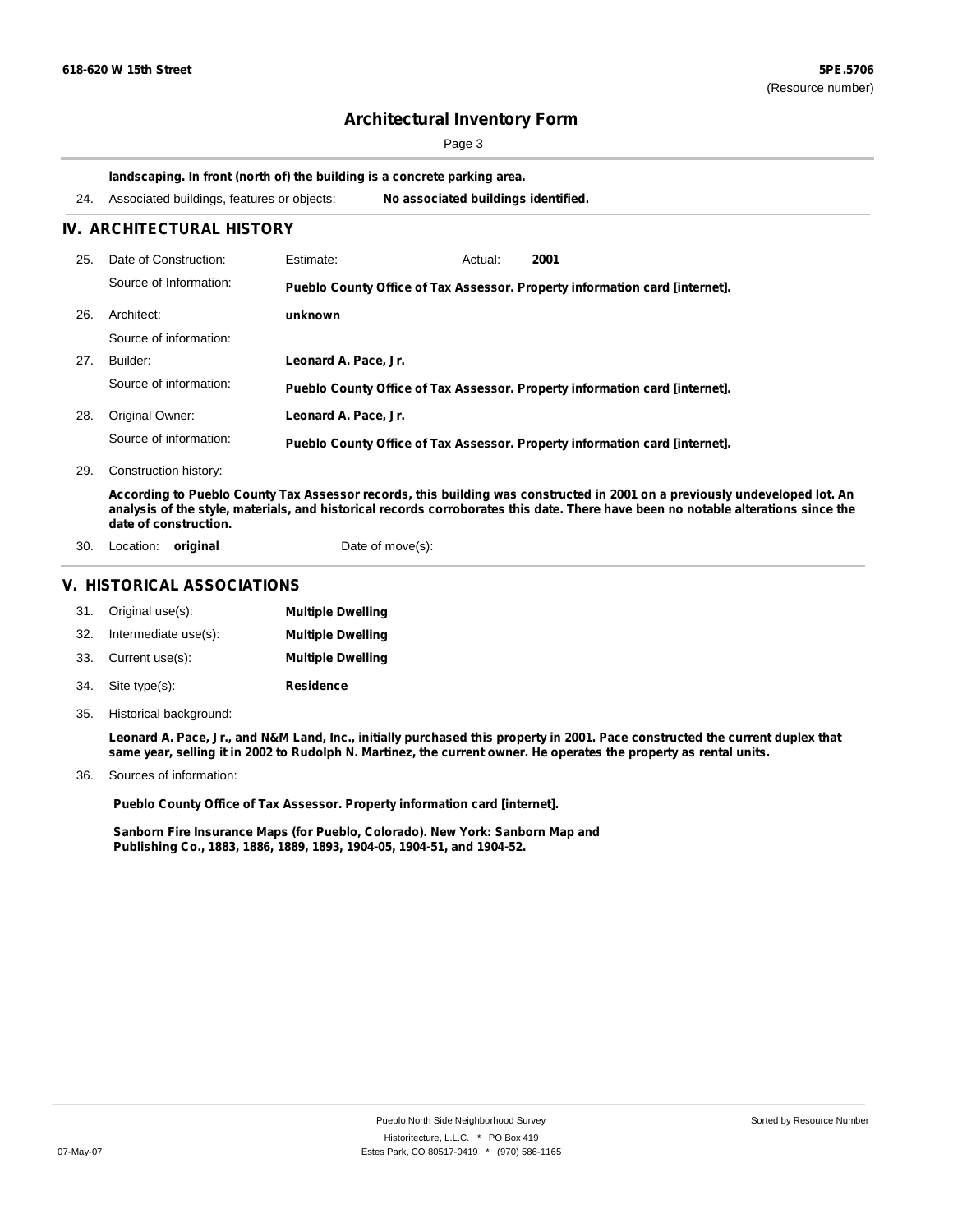Page 3

**landscaping. In front (north of) the building is a concrete parking area.**

| 24. | Associated buildings, features or objects: |                      | No associated buildings identified.                                                                                                                                                                                                                             |  |  |  |
|-----|--------------------------------------------|----------------------|-----------------------------------------------------------------------------------------------------------------------------------------------------------------------------------------------------------------------------------------------------------------|--|--|--|
|     | IV. ARCHITECTURAL HISTORY                  |                      |                                                                                                                                                                                                                                                                 |  |  |  |
| 25. | Date of Construction:                      | Estimate:            | 2001<br>Actual:                                                                                                                                                                                                                                                 |  |  |  |
|     | Source of Information:                     |                      | Pueblo County Office of Tax Assessor. Property information card [internet].                                                                                                                                                                                     |  |  |  |
| 26. | Architect:                                 | unknown              |                                                                                                                                                                                                                                                                 |  |  |  |
|     | Source of information:                     |                      |                                                                                                                                                                                                                                                                 |  |  |  |
| 27. | Builder:                                   | Leonard A. Pace, Jr. |                                                                                                                                                                                                                                                                 |  |  |  |
|     | Source of information:                     |                      | Pueblo County Office of Tax Assessor. Property information card [internet].                                                                                                                                                                                     |  |  |  |
| 28. | Original Owner:                            | Leonard A. Pace, Jr. |                                                                                                                                                                                                                                                                 |  |  |  |
|     | Source of information:                     |                      | Pueblo County Office of Tax Assessor. Property information card [internet].                                                                                                                                                                                     |  |  |  |
| 29. | Construction history:                      |                      |                                                                                                                                                                                                                                                                 |  |  |  |
|     | date of construction.                      |                      | According to Pueblo County Tax Assessor records, this building was constructed in 2001 on a previously undeveloped lot. An<br>analysis of the style, materials, and historical records corroborates this date. There have been no notable alterations since the |  |  |  |
| 30. | Location: <b>original</b>                  |                      | Date of move(s):                                                                                                                                                                                                                                                |  |  |  |

#### **V. HISTORICAL ASSOCIATIONS**

|     | 31. Original use(s): | <b>Multiple Dwelling</b> |
|-----|----------------------|--------------------------|
| 32. | Intermediate use(s): | <b>Multiple Dwelling</b> |
|     | 33. Current use(s):  | <b>Multiple Dwelling</b> |
|     | 34. Site type(s):    | <b>Residence</b>         |

35. Historical background:

Leonard A. Pace, Jr., and N&M Land, Inc., initially purchased this property in 2001. Pace constructed the current duplex that same year, selling it in 2002 to Rudolph N. Martinez, the current owner. He operates the property as rental units.

Sources of information: 36.

**Pueblo County Office of Tax Assessor. Property information card [internet].**

**Sanborn Fire Insurance Maps (for Pueblo, Colorado). New York: Sanborn Map and Publishing Co., 1883, 1886, 1889, 1893, 1904-05, 1904-51, and 1904-52.**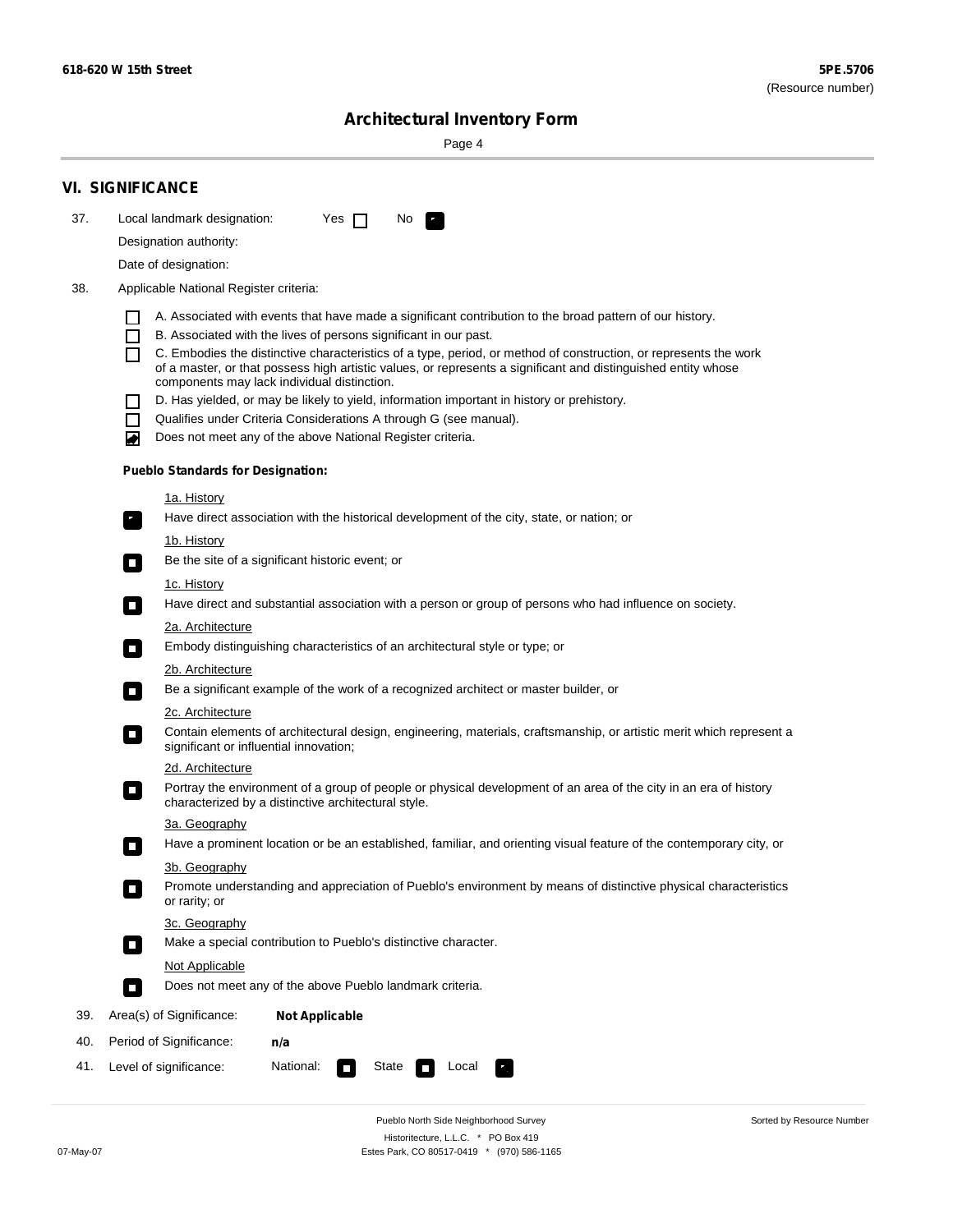Sorted by Resource Number

# **Architectural Inventory Form**

Page 4

|     | <b>VI. SIGNIFICANCE</b>                                                                                                                                                      |  |  |  |  |  |  |  |  |
|-----|------------------------------------------------------------------------------------------------------------------------------------------------------------------------------|--|--|--|--|--|--|--|--|
| 37. | Local landmark designation:<br>Yes $\Box$<br>No.<br>$\mathbf{F}_{\mathbf{a}}$                                                                                                |  |  |  |  |  |  |  |  |
|     | Designation authority:                                                                                                                                                       |  |  |  |  |  |  |  |  |
|     | Date of designation:                                                                                                                                                         |  |  |  |  |  |  |  |  |
| 38. | Applicable National Register criteria:                                                                                                                                       |  |  |  |  |  |  |  |  |
|     | A. Associated with events that have made a significant contribution to the broad pattern of our history.                                                                     |  |  |  |  |  |  |  |  |
|     | B. Associated with the lives of persons significant in our past.                                                                                                             |  |  |  |  |  |  |  |  |
|     | C. Embodies the distinctive characteristics of a type, period, or method of construction, or represents the work                                                             |  |  |  |  |  |  |  |  |
|     | of a master, or that possess high artistic values, or represents a significant and distinguished entity whose<br>components may lack individual distinction.                 |  |  |  |  |  |  |  |  |
|     | D. Has yielded, or may be likely to yield, information important in history or prehistory.                                                                                   |  |  |  |  |  |  |  |  |
|     | Qualifies under Criteria Considerations A through G (see manual).                                                                                                            |  |  |  |  |  |  |  |  |
|     | Does not meet any of the above National Register criteria.<br>◙                                                                                                              |  |  |  |  |  |  |  |  |
|     | <b>Pueblo Standards for Designation:</b>                                                                                                                                     |  |  |  |  |  |  |  |  |
|     | <u>1a. History</u>                                                                                                                                                           |  |  |  |  |  |  |  |  |
|     | Have direct association with the historical development of the city, state, or nation; or<br>$\mathcal{F}_{\perp}$                                                           |  |  |  |  |  |  |  |  |
|     | <u>1b. History</u>                                                                                                                                                           |  |  |  |  |  |  |  |  |
|     | Be the site of a significant historic event; or<br>$\mathcal{L}_{\mathcal{A}}$                                                                                               |  |  |  |  |  |  |  |  |
|     | 1c. History                                                                                                                                                                  |  |  |  |  |  |  |  |  |
|     | Have direct and substantial association with a person or group of persons who had influence on society.<br>$\sim$                                                            |  |  |  |  |  |  |  |  |
|     | 2a. Architecture<br>Embody distinguishing characteristics of an architectural style or type; or<br>$\blacksquare$                                                            |  |  |  |  |  |  |  |  |
|     | 2b. Architecture                                                                                                                                                             |  |  |  |  |  |  |  |  |
|     | Be a significant example of the work of a recognized architect or master builder, or<br>$\sim$                                                                               |  |  |  |  |  |  |  |  |
|     | <b>2c. Architecture</b>                                                                                                                                                      |  |  |  |  |  |  |  |  |
|     | Contain elements of architectural design, engineering, materials, craftsmanship, or artistic merit which represent a<br>О<br>significant or influential innovation;          |  |  |  |  |  |  |  |  |
|     | 2d. Architecture                                                                                                                                                             |  |  |  |  |  |  |  |  |
|     | Portray the environment of a group of people or physical development of an area of the city in an era of history<br>О<br>characterized by a distinctive architectural style. |  |  |  |  |  |  |  |  |
|     | 3a. Geography                                                                                                                                                                |  |  |  |  |  |  |  |  |
|     | Have a prominent location or be an established, familiar, and orienting visual feature of the contemporary city, or                                                          |  |  |  |  |  |  |  |  |
|     | 3b. Geography                                                                                                                                                                |  |  |  |  |  |  |  |  |
|     | Promote understanding and appreciation of Pueblo's environment by means of distinctive physical characteristics<br>or rarity; or                                             |  |  |  |  |  |  |  |  |
|     | 3c. Geography                                                                                                                                                                |  |  |  |  |  |  |  |  |
|     | Make a special contribution to Pueblo's distinctive character.<br>$\mathcal{L}_{\mathcal{A}}$                                                                                |  |  |  |  |  |  |  |  |
|     | <b>Not Applicable</b>                                                                                                                                                        |  |  |  |  |  |  |  |  |
|     | Does not meet any of the above Pueblo landmark criteria.<br>$\Box$                                                                                                           |  |  |  |  |  |  |  |  |
| 39. | Area(s) of Significance:<br><b>Not Applicable</b>                                                                                                                            |  |  |  |  |  |  |  |  |
| 40. | Period of Significance:<br>n/a                                                                                                                                               |  |  |  |  |  |  |  |  |
| 41. | National:<br>Level of significance:<br>State<br>Local<br>$\sim$                                                                                                              |  |  |  |  |  |  |  |  |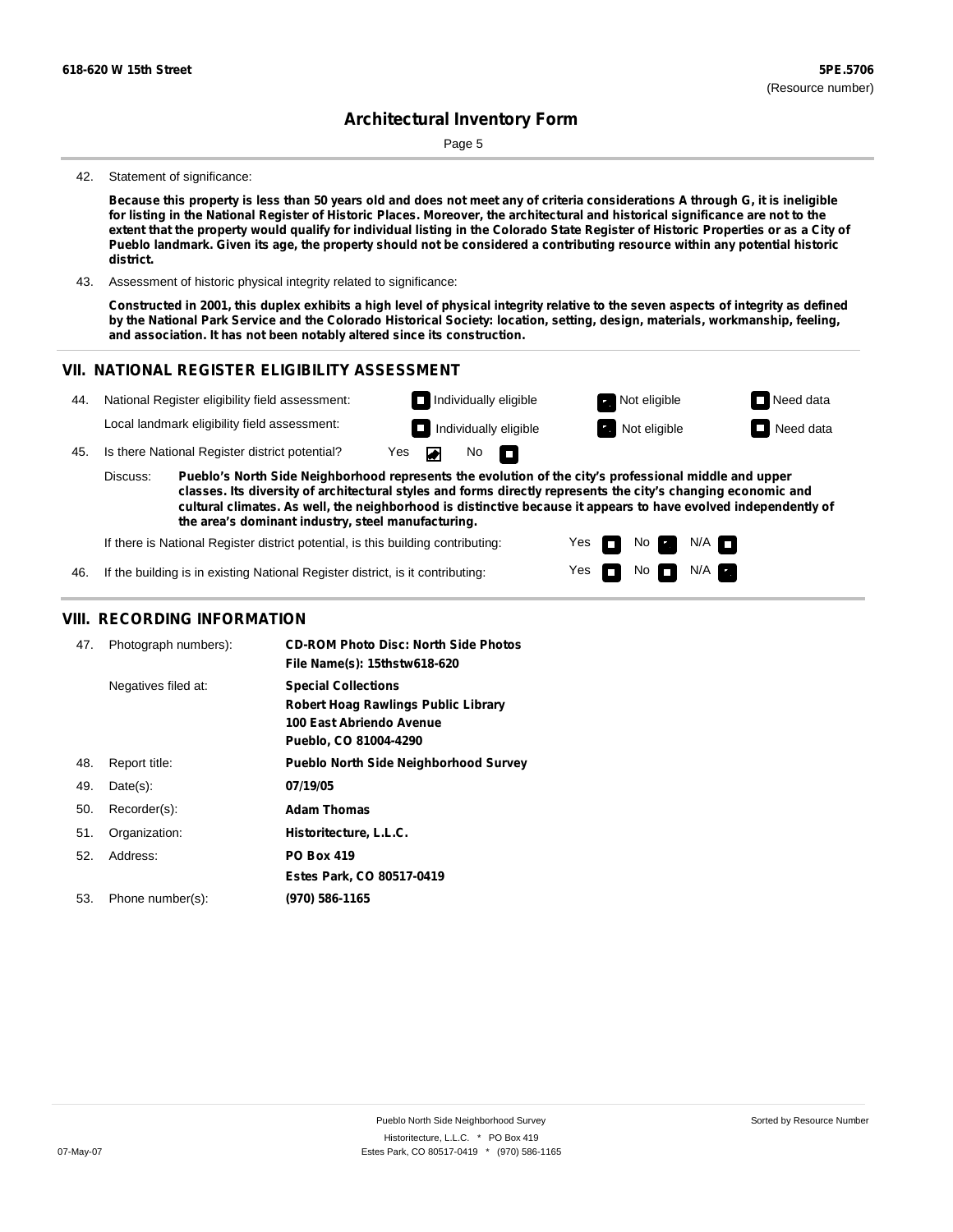Page 5

#### 42. Statement of significance:

Because this property is less than 50 years old and does not meet any of criteria considerations A through G, it is ineligible for listing in the National Register of Historic Places. Moreover, the architectural and historical significance are not to the extent that the property would qualify for individual listing in the Colorado State Register of Historic Properties or as a City of Pueblo landmark. Given its age, the property should not be considered a contributing resource within any potential historic **district.**

43. Assessment of historic physical integrity related to significance:

Constructed in 2001, this duplex exhibits a high level of physical integrity relative to the seven aspects of integrity as defined by the National Park Service and the Colorado Historical Society: location, setting, design, materials, workmanship, feeling, **and association. It has not been notably altered since its construction.**

> Yes Yes

m m No **Ex** 

 $N$ o  $N/A$ 

 $N/A$ 

#### **VII. NATIONAL REGISTER ELIGIBILITY ASSESSMENT**



**the area's dominant industry, steel manufacturing.**

If there is National Register district potential, is this building contributing:

46. If the building is in existing National Register district, is it contributing:

#### **VIII. RECORDING INFORMATION**

| 47. | Photograph numbers): | <b>CD-ROM Photo Disc: North Side Photos</b><br>File Name(s): 15thstw618-620                                            |
|-----|----------------------|------------------------------------------------------------------------------------------------------------------------|
|     | Negatives filed at:  | <b>Special Collections</b><br>Robert Hoag Rawlings Public Library<br>100 East Abriendo Avenue<br>Pueblo, CO 81004-4290 |
| 48. | Report title:        | <b>Pueblo North Side Neighborhood Survey</b>                                                                           |
| 49. | $Date(s)$ :          | 07/19/05                                                                                                               |
| 50. | Recorder(s):         | <b>Adam Thomas</b>                                                                                                     |
| 51. | Organization:        | Historitecture, L.L.C.                                                                                                 |
| 52. | Address:             | <b>PO Box 419</b>                                                                                                      |
|     |                      | Estes Park, CO 80517-0419                                                                                              |
| 53. | Phone number(s):     | (970) 586-1165                                                                                                         |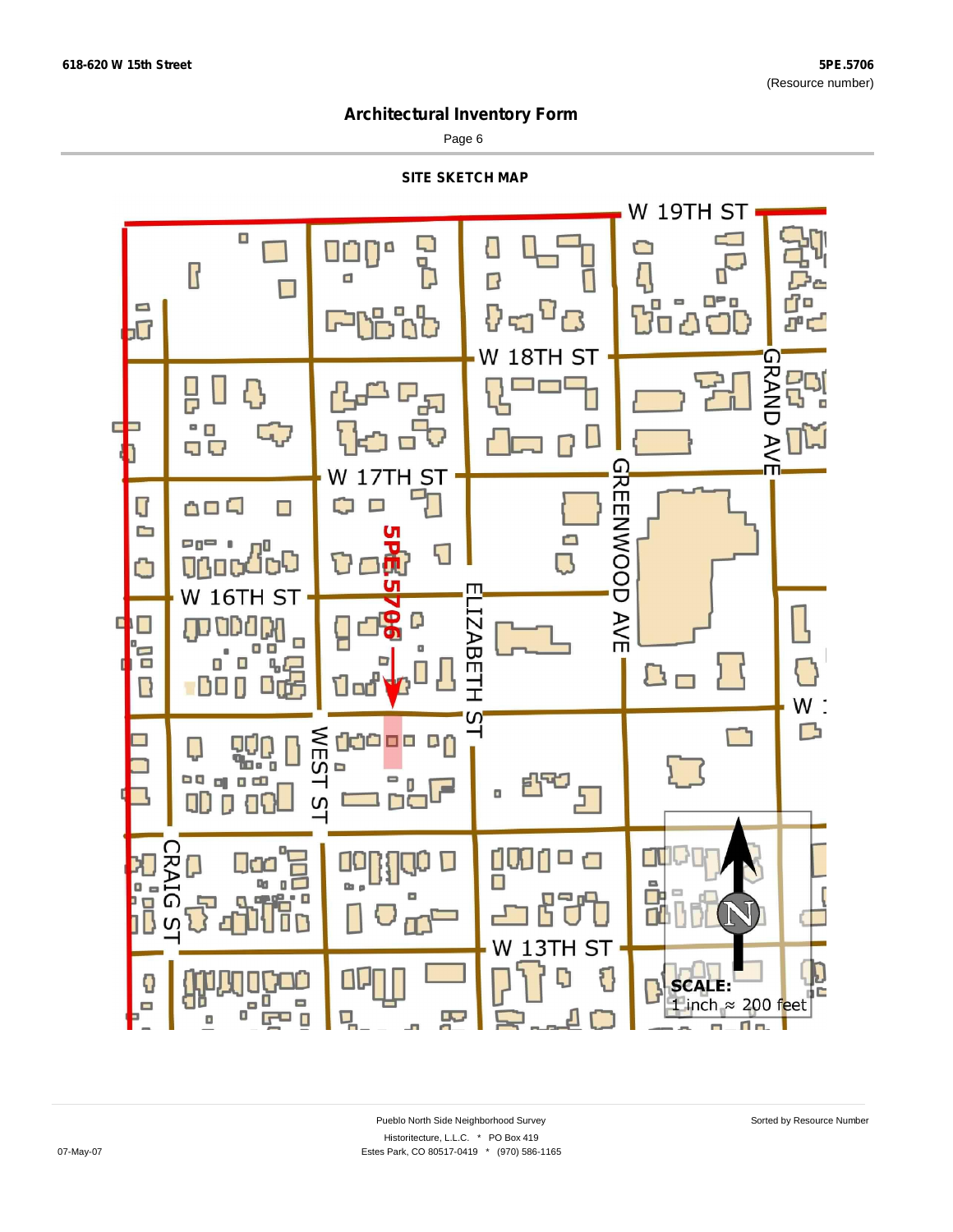Page 6